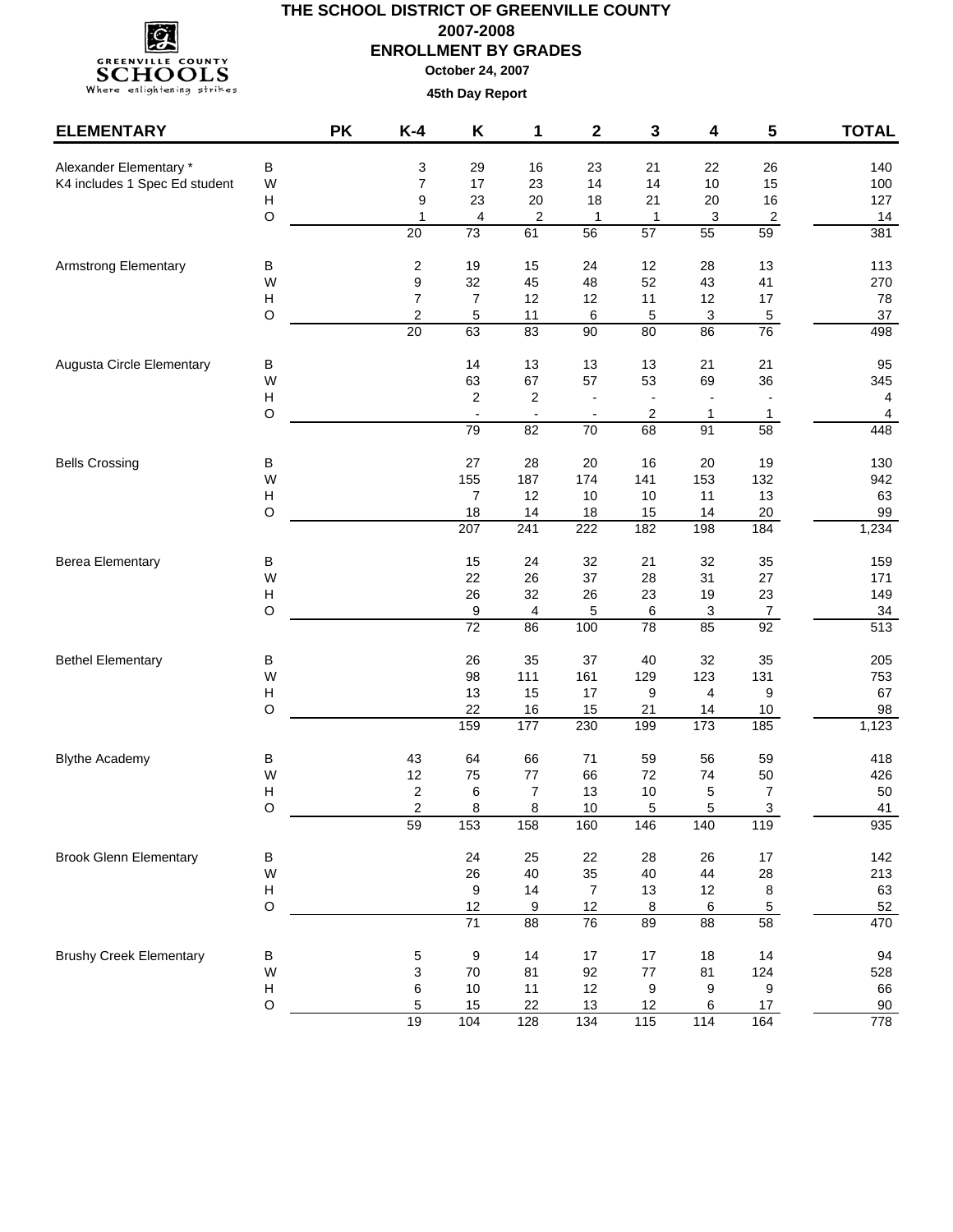# $\alpha$  $\mathop{\bf SCHOOLS}\limits_{\text{Where neighboring strings}}$

### **THE SCHOOL DISTRICT OF GREENVILLE COUNTY 2007-2008**

**ENROLLMENT BY GRADES October 24, 2007**

| <b>ELEMENTARY</b>              |             | <b>PK</b> | $K-4$                   | Κ                                                                                                                                                                                                                                                                                                                                                                                                                                                                                                                                                                                                                                                                                                                                                                                                                                                                                                                                                                                                                                                                                                                                                                                                                                                                                                                                                                                                                                                                                                                                                                                                                                   | 1      | $\mathbf 2$                                                     | 3               | 4                                      | 5              | <b>TOTAL</b>     |
|--------------------------------|-------------|-----------|-------------------------|-------------------------------------------------------------------------------------------------------------------------------------------------------------------------------------------------------------------------------------------------------------------------------------------------------------------------------------------------------------------------------------------------------------------------------------------------------------------------------------------------------------------------------------------------------------------------------------------------------------------------------------------------------------------------------------------------------------------------------------------------------------------------------------------------------------------------------------------------------------------------------------------------------------------------------------------------------------------------------------------------------------------------------------------------------------------------------------------------------------------------------------------------------------------------------------------------------------------------------------------------------------------------------------------------------------------------------------------------------------------------------------------------------------------------------------------------------------------------------------------------------------------------------------------------------------------------------------------------------------------------------------|--------|-----------------------------------------------------------------|-----------------|----------------------------------------|----------------|------------------|
| Alexander Elementary *         | B           |           | 3                       |                                                                                                                                                                                                                                                                                                                                                                                                                                                                                                                                                                                                                                                                                                                                                                                                                                                                                                                                                                                                                                                                                                                                                                                                                                                                                                                                                                                                                                                                                                                                                                                                                                     |        |                                                                 |                 |                                        |                | 140              |
| K4 includes 1 Spec Ed student  | W           |           | $\overline{7}$          |                                                                                                                                                                                                                                                                                                                                                                                                                                                                                                                                                                                                                                                                                                                                                                                                                                                                                                                                                                                                                                                                                                                                                                                                                                                                                                                                                                                                                                                                                                                                                                                                                                     |        |                                                                 |                 |                                        |                | 100              |
|                                | н           |           | 9                       |                                                                                                                                                                                                                                                                                                                                                                                                                                                                                                                                                                                                                                                                                                                                                                                                                                                                                                                                                                                                                                                                                                                                                                                                                                                                                                                                                                                                                                                                                                                                                                                                                                     |        |                                                                 |                 |                                        |                | 127              |
|                                | $\circ$     |           | 1                       |                                                                                                                                                                                                                                                                                                                                                                                                                                                                                                                                                                                                                                                                                                                                                                                                                                                                                                                                                                                                                                                                                                                                                                                                                                                                                                                                                                                                                                                                                                                                                                                                                                     |        |                                                                 |                 |                                        |                | 14               |
|                                |             |           | $\overline{20}$         | $\overline{73}$                                                                                                                                                                                                                                                                                                                                                                                                                                                                                                                                                                                                                                                                                                                                                                                                                                                                                                                                                                                                                                                                                                                                                                                                                                                                                                                                                                                                                                                                                                                                                                                                                     | 61     | $\overline{56}$                                                 | $\overline{57}$ | 55                                     | 59             | 381              |
| <b>Armstrong Elementary</b>    | B           |           | 2                       | 19                                                                                                                                                                                                                                                                                                                                                                                                                                                                                                                                                                                                                                                                                                                                                                                                                                                                                                                                                                                                                                                                                                                                                                                                                                                                                                                                                                                                                                                                                                                                                                                                                                  | 15     | 24                                                              | 12              | 28                                     | 13             | 113              |
|                                | W           |           | 9                       | 32                                                                                                                                                                                                                                                                                                                                                                                                                                                                                                                                                                                                                                                                                                                                                                                                                                                                                                                                                                                                                                                                                                                                                                                                                                                                                                                                                                                                                                                                                                                                                                                                                                  | 45     | 48                                                              | 52              | 43                                     | 41             | 270              |
|                                | н           |           | 7                       | 7                                                                                                                                                                                                                                                                                                                                                                                                                                                                                                                                                                                                                                                                                                                                                                                                                                                                                                                                                                                                                                                                                                                                                                                                                                                                                                                                                                                                                                                                                                                                                                                                                                   |        |                                                                 | 11              |                                        | 17             | 78               |
|                                | $\circ$     |           | $\overline{\mathbf{c}}$ | 29<br>16<br>26<br>23<br>21<br>22<br>17<br>15<br>23<br>14<br>14<br>10<br>23<br>20<br>18<br>21<br>20<br>16<br>2<br>4<br>1<br>1<br>3<br>$\overline{2}$<br>12<br>12<br>12<br>5<br>11<br>6<br>5<br>3<br>$\,$ 5 $\,$<br>63<br>83<br>80<br>86<br>$\overline{76}$<br>90<br>14<br>13<br>13<br>13<br>21<br>21<br>63<br>67<br>57<br>69<br>36<br>53<br>2<br>$\overline{c}$<br>$\overline{\phantom{a}}$<br>2<br>1<br>$\mathbf{1}$<br>$\overline{\phantom{a}}$<br>$\overline{\phantom{a}}$<br>$\overline{\phantom{a}}$<br>68<br>91<br>79<br>$\overline{82}$<br>58<br>70<br>27<br>28<br>20<br>16<br>20<br>19<br>155<br>174<br>187<br>141<br>153<br>132<br>7<br>12<br>10<br>13<br>10<br>11<br>18<br>14<br>18<br>15<br>14<br>20<br>207<br>222<br>182<br>198<br>184<br>241<br>15<br>32<br>21<br>32<br>35<br>24<br>22<br>26<br>37<br>28<br>31<br>27<br>32<br>23<br>26<br>26<br>23<br>19<br>9<br>5<br>6<br>4<br>3<br>$\overline{7}$<br>92<br>72<br>86<br>100<br>78<br>85<br>26<br>35<br>37<br>40<br>32<br>35<br>161<br>98<br>111<br>129<br>123<br>131<br>13<br>15<br>17<br>9<br>9<br>4<br>22<br>16<br>15<br>21<br>14<br>$10$<br>159<br>177<br>230<br>199<br>$\overline{173}$<br>185<br>64<br>66<br>$71$<br>59<br>56<br>59<br>75<br>$77 \,$<br>66<br>72<br>74<br>50<br>$\overline{7}$<br>13<br>$10$<br>$\overline{7}$<br>6<br>5<br>5<br>5<br>3<br>8<br>8<br>10<br>158<br>140<br>153<br>160<br>146<br>119<br>24<br>26<br>25<br>22<br>28<br>$17$<br>35<br>26<br>40<br>40<br>44<br>28<br>9<br>$\overline{7}$<br>8<br>14<br>13<br>12<br>12<br>12<br>8<br>$\overline{5}$<br>9<br>6<br>71<br>58<br>$\overline{88}$<br>$\overline{76}$<br>89<br>$\overline{88}$ | $37\,$ |                                                                 |                 |                                        |                |                  |
|                                |             |           | $\overline{20}$         |                                                                                                                                                                                                                                                                                                                                                                                                                                                                                                                                                                                                                                                                                                                                                                                                                                                                                                                                                                                                                                                                                                                                                                                                                                                                                                                                                                                                                                                                                                                                                                                                                                     |        |                                                                 |                 |                                        |                | 498              |
| Augusta Circle Elementary      | В           |           |                         |                                                                                                                                                                                                                                                                                                                                                                                                                                                                                                                                                                                                                                                                                                                                                                                                                                                                                                                                                                                                                                                                                                                                                                                                                                                                                                                                                                                                                                                                                                                                                                                                                                     |        |                                                                 |                 |                                        | 14<br>124<br>9 | 95               |
|                                | W           |           |                         |                                                                                                                                                                                                                                                                                                                                                                                                                                                                                                                                                                                                                                                                                                                                                                                                                                                                                                                                                                                                                                                                                                                                                                                                                                                                                                                                                                                                                                                                                                                                                                                                                                     |        |                                                                 |                 |                                        |                | 345              |
|                                | н           |           |                         |                                                                                                                                                                                                                                                                                                                                                                                                                                                                                                                                                                                                                                                                                                                                                                                                                                                                                                                                                                                                                                                                                                                                                                                                                                                                                                                                                                                                                                                                                                                                                                                                                                     |        |                                                                 |                 |                                        |                | $\overline{4}$   |
|                                | $\circ$     |           |                         |                                                                                                                                                                                                                                                                                                                                                                                                                                                                                                                                                                                                                                                                                                                                                                                                                                                                                                                                                                                                                                                                                                                                                                                                                                                                                                                                                                                                                                                                                                                                                                                                                                     |        |                                                                 |                 |                                        |                | 4                |
|                                |             |           |                         |                                                                                                                                                                                                                                                                                                                                                                                                                                                                                                                                                                                                                                                                                                                                                                                                                                                                                                                                                                                                                                                                                                                                                                                                                                                                                                                                                                                                                                                                                                                                                                                                                                     |        |                                                                 |                 |                                        |                | 448              |
| <b>Bells Crossing</b>          | B           |           |                         |                                                                                                                                                                                                                                                                                                                                                                                                                                                                                                                                                                                                                                                                                                                                                                                                                                                                                                                                                                                                                                                                                                                                                                                                                                                                                                                                                                                                                                                                                                                                                                                                                                     |        |                                                                 |                 |                                        |                | 130              |
|                                | W           |           |                         |                                                                                                                                                                                                                                                                                                                                                                                                                                                                                                                                                                                                                                                                                                                                                                                                                                                                                                                                                                                                                                                                                                                                                                                                                                                                                                                                                                                                                                                                                                                                                                                                                                     |        |                                                                 |                 |                                        |                | 942              |
|                                | н           |           |                         |                                                                                                                                                                                                                                                                                                                                                                                                                                                                                                                                                                                                                                                                                                                                                                                                                                                                                                                                                                                                                                                                                                                                                                                                                                                                                                                                                                                                                                                                                                                                                                                                                                     |        |                                                                 |                 |                                        |                | 63               |
|                                | $\circ$     |           |                         |                                                                                                                                                                                                                                                                                                                                                                                                                                                                                                                                                                                                                                                                                                                                                                                                                                                                                                                                                                                                                                                                                                                                                                                                                                                                                                                                                                                                                                                                                                                                                                                                                                     |        |                                                                 |                 |                                        |                | 99               |
|                                |             |           |                         |                                                                                                                                                                                                                                                                                                                                                                                                                                                                                                                                                                                                                                                                                                                                                                                                                                                                                                                                                                                                                                                                                                                                                                                                                                                                                                                                                                                                                                                                                                                                                                                                                                     |        |                                                                 |                 |                                        |                | 1,234            |
| <b>Berea Elementary</b>        | В           |           |                         |                                                                                                                                                                                                                                                                                                                                                                                                                                                                                                                                                                                                                                                                                                                                                                                                                                                                                                                                                                                                                                                                                                                                                                                                                                                                                                                                                                                                                                                                                                                                                                                                                                     |        |                                                                 |                 |                                        |                | 159              |
|                                | W           |           |                         |                                                                                                                                                                                                                                                                                                                                                                                                                                                                                                                                                                                                                                                                                                                                                                                                                                                                                                                                                                                                                                                                                                                                                                                                                                                                                                                                                                                                                                                                                                                                                                                                                                     |        |                                                                 |                 |                                        |                | 171              |
|                                | Н           |           |                         |                                                                                                                                                                                                                                                                                                                                                                                                                                                                                                                                                                                                                                                                                                                                                                                                                                                                                                                                                                                                                                                                                                                                                                                                                                                                                                                                                                                                                                                                                                                                                                                                                                     |        |                                                                 |                 |                                        |                | 149              |
|                                | $\circ$     |           |                         |                                                                                                                                                                                                                                                                                                                                                                                                                                                                                                                                                                                                                                                                                                                                                                                                                                                                                                                                                                                                                                                                                                                                                                                                                                                                                                                                                                                                                                                                                                                                                                                                                                     |        |                                                                 |                 |                                        |                | 34               |
|                                |             |           |                         |                                                                                                                                                                                                                                                                                                                                                                                                                                                                                                                                                                                                                                                                                                                                                                                                                                                                                                                                                                                                                                                                                                                                                                                                                                                                                                                                                                                                                                                                                                                                                                                                                                     |        |                                                                 |                 |                                        |                | $\overline{513}$ |
| <b>Bethel Elementary</b>       | В           |           |                         |                                                                                                                                                                                                                                                                                                                                                                                                                                                                                                                                                                                                                                                                                                                                                                                                                                                                                                                                                                                                                                                                                                                                                                                                                                                                                                                                                                                                                                                                                                                                                                                                                                     |        |                                                                 |                 |                                        |                | 205              |
|                                | W           |           |                         |                                                                                                                                                                                                                                                                                                                                                                                                                                                                                                                                                                                                                                                                                                                                                                                                                                                                                                                                                                                                                                                                                                                                                                                                                                                                                                                                                                                                                                                                                                                                                                                                                                     |        |                                                                 |                 |                                        |                | 753              |
|                                | Н           |           |                         |                                                                                                                                                                                                                                                                                                                                                                                                                                                                                                                                                                                                                                                                                                                                                                                                                                                                                                                                                                                                                                                                                                                                                                                                                                                                                                                                                                                                                                                                                                                                                                                                                                     |        |                                                                 |                 |                                        |                | 67               |
|                                | $\circ$     |           |                         |                                                                                                                                                                                                                                                                                                                                                                                                                                                                                                                                                                                                                                                                                                                                                                                                                                                                                                                                                                                                                                                                                                                                                                                                                                                                                                                                                                                                                                                                                                                                                                                                                                     |        |                                                                 |                 |                                        |                | 98               |
| <b>Blythe Academy</b>          |             |           |                         |                                                                                                                                                                                                                                                                                                                                                                                                                                                                                                                                                                                                                                                                                                                                                                                                                                                                                                                                                                                                                                                                                                                                                                                                                                                                                                                                                                                                                                                                                                                                                                                                                                     |        |                                                                 |                 |                                        |                | 1,123            |
|                                | В           |           | 43                      |                                                                                                                                                                                                                                                                                                                                                                                                                                                                                                                                                                                                                                                                                                                                                                                                                                                                                                                                                                                                                                                                                                                                                                                                                                                                                                                                                                                                                                                                                                                                                                                                                                     |        |                                                                 |                 |                                        |                | 418              |
|                                | W           |           | 12                      |                                                                                                                                                                                                                                                                                                                                                                                                                                                                                                                                                                                                                                                                                                                                                                                                                                                                                                                                                                                                                                                                                                                                                                                                                                                                                                                                                                                                                                                                                                                                                                                                                                     |        |                                                                 |                 |                                        |                | 426              |
|                                | Н           |           | $\boldsymbol{2}$        |                                                                                                                                                                                                                                                                                                                                                                                                                                                                                                                                                                                                                                                                                                                                                                                                                                                                                                                                                                                                                                                                                                                                                                                                                                                                                                                                                                                                                                                                                                                                                                                                                                     |        |                                                                 |                 |                                        |                | 50               |
|                                | $\circ$     |           | $\overline{c}$<br>59    |                                                                                                                                                                                                                                                                                                                                                                                                                                                                                                                                                                                                                                                                                                                                                                                                                                                                                                                                                                                                                                                                                                                                                                                                                                                                                                                                                                                                                                                                                                                                                                                                                                     |        |                                                                 |                 |                                        |                | 41<br>935        |
|                                |             |           |                         |                                                                                                                                                                                                                                                                                                                                                                                                                                                                                                                                                                                                                                                                                                                                                                                                                                                                                                                                                                                                                                                                                                                                                                                                                                                                                                                                                                                                                                                                                                                                                                                                                                     |        |                                                                 |                 |                                        |                |                  |
| <b>Brook Glenn Elementary</b>  | B<br>W      |           |                         |                                                                                                                                                                                                                                                                                                                                                                                                                                                                                                                                                                                                                                                                                                                                                                                                                                                                                                                                                                                                                                                                                                                                                                                                                                                                                                                                                                                                                                                                                                                                                                                                                                     |        |                                                                 |                 |                                        |                | 142              |
|                                | Н           |           |                         |                                                                                                                                                                                                                                                                                                                                                                                                                                                                                                                                                                                                                                                                                                                                                                                                                                                                                                                                                                                                                                                                                                                                                                                                                                                                                                                                                                                                                                                                                                                                                                                                                                     |        |                                                                 |                 |                                        |                | 213<br>63        |
|                                | $\mathsf O$ |           |                         |                                                                                                                                                                                                                                                                                                                                                                                                                                                                                                                                                                                                                                                                                                                                                                                                                                                                                                                                                                                                                                                                                                                                                                                                                                                                                                                                                                                                                                                                                                                                                                                                                                     |        |                                                                 |                 |                                        |                |                  |
|                                |             |           |                         |                                                                                                                                                                                                                                                                                                                                                                                                                                                                                                                                                                                                                                                                                                                                                                                                                                                                                                                                                                                                                                                                                                                                                                                                                                                                                                                                                                                                                                                                                                                                                                                                                                     |        |                                                                 |                 |                                        |                | 52<br>470        |
| <b>Brushy Creek Elementary</b> | B           |           | 5                       | 9                                                                                                                                                                                                                                                                                                                                                                                                                                                                                                                                                                                                                                                                                                                                                                                                                                                                                                                                                                                                                                                                                                                                                                                                                                                                                                                                                                                                                                                                                                                                                                                                                                   | 14     |                                                                 |                 | 18<br>81<br>9<br>6<br>17<br>114<br>164 | 94             |                  |
|                                | W           |           | 3                       | 70                                                                                                                                                                                                                                                                                                                                                                                                                                                                                                                                                                                                                                                                                                                                                                                                                                                                                                                                                                                                                                                                                                                                                                                                                                                                                                                                                                                                                                                                                                                                                                                                                                  | 81     | 17<br>$17$<br>92<br>$77$<br>12<br>9<br>$13$<br>12<br>115<br>134 |                 | 528                                    |                |                  |
|                                | н           |           | 6                       | $10$                                                                                                                                                                                                                                                                                                                                                                                                                                                                                                                                                                                                                                                                                                                                                                                                                                                                                                                                                                                                                                                                                                                                                                                                                                                                                                                                                                                                                                                                                                                                                                                                                                | 11     |                                                                 |                 |                                        |                | 66               |
|                                | $\mathsf O$ |           | $\mathbf 5$             | 15                                                                                                                                                                                                                                                                                                                                                                                                                                                                                                                                                                                                                                                                                                                                                                                                                                                                                                                                                                                                                                                                                                                                                                                                                                                                                                                                                                                                                                                                                                                                                                                                                                  | 22     |                                                                 |                 |                                        |                | $90\,$           |
|                                |             |           | 19                      | 104                                                                                                                                                                                                                                                                                                                                                                                                                                                                                                                                                                                                                                                                                                                                                                                                                                                                                                                                                                                                                                                                                                                                                                                                                                                                                                                                                                                                                                                                                                                                                                                                                                 | 128    |                                                                 |                 |                                        |                | 778              |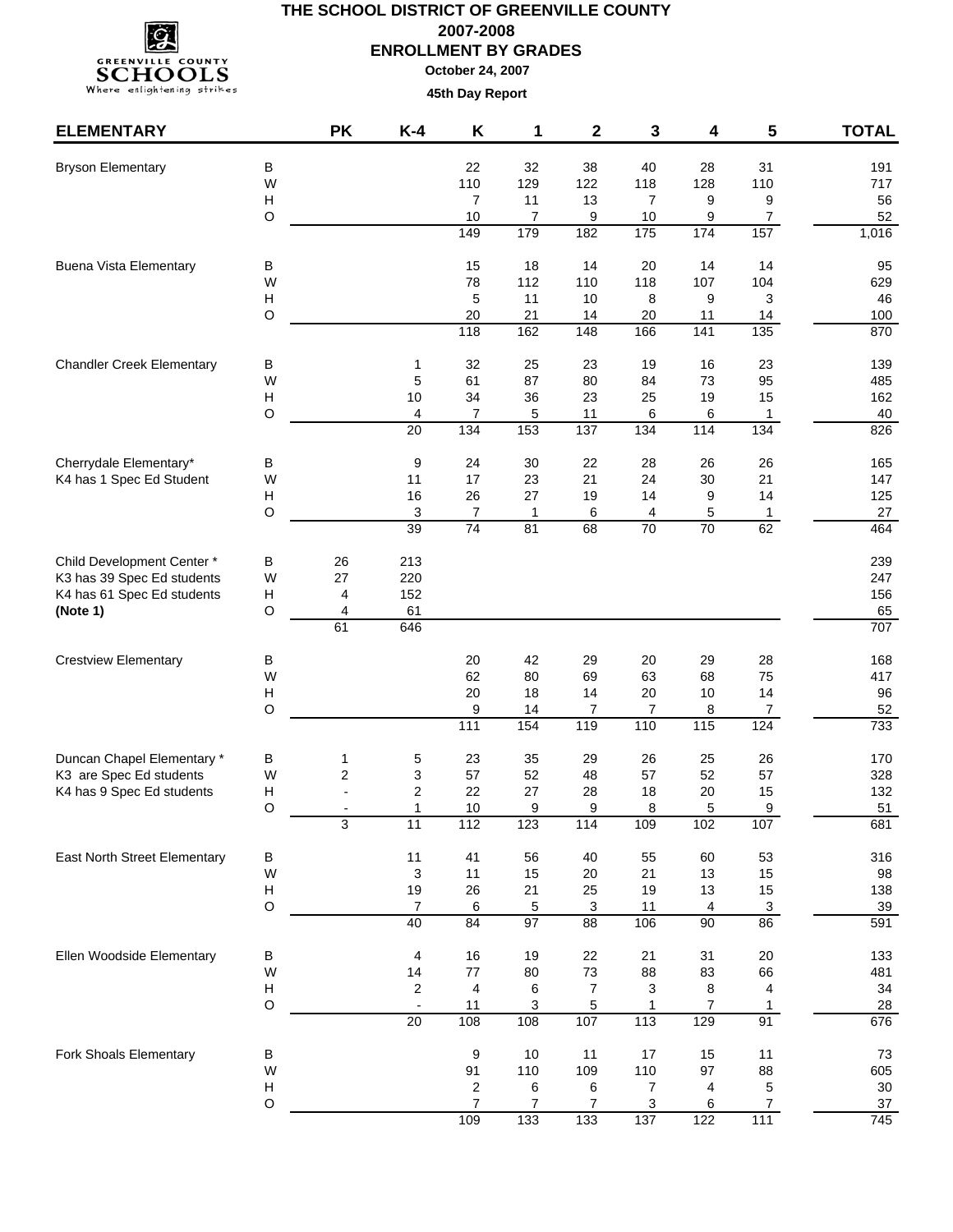## I.C.  $\mathop{\bf SCHOOLS}\limits_{\text{Where neighboring strings}}$

#### **THE SCHOOL DISTRICT OF GREENVILLE COUNTY 2007-2008 ENROLLMENT BY GRADES**

**October 24, 2007**

| <b>ELEMENTARY</b>                                        |                           | <b>PK</b> | $K-4$                                                                                                                                                                                                                                                                                                                                                                                                                                                                                                                                                                                                                                                                                                                                                                                                                                                                                                                                                                                                                                                                                                                                                                                                                                                                                                                                                                                                                                                                                                                                                                                                                                                                                                                                                                                                         | K                     | 1        | $\mathbf 2$ | 3                     | 4                | 5                                                                                                                                                                                                         | <b>TOTAL</b>  |
|----------------------------------------------------------|---------------------------|-----------|---------------------------------------------------------------------------------------------------------------------------------------------------------------------------------------------------------------------------------------------------------------------------------------------------------------------------------------------------------------------------------------------------------------------------------------------------------------------------------------------------------------------------------------------------------------------------------------------------------------------------------------------------------------------------------------------------------------------------------------------------------------------------------------------------------------------------------------------------------------------------------------------------------------------------------------------------------------------------------------------------------------------------------------------------------------------------------------------------------------------------------------------------------------------------------------------------------------------------------------------------------------------------------------------------------------------------------------------------------------------------------------------------------------------------------------------------------------------------------------------------------------------------------------------------------------------------------------------------------------------------------------------------------------------------------------------------------------------------------------------------------------------------------------------------------------|-----------------------|----------|-------------|-----------------------|------------------|-----------------------------------------------------------------------------------------------------------------------------------------------------------------------------------------------------------|---------------|
| <b>Bryson Elementary</b>                                 | B                         |           |                                                                                                                                                                                                                                                                                                                                                                                                                                                                                                                                                                                                                                                                                                                                                                                                                                                                                                                                                                                                                                                                                                                                                                                                                                                                                                                                                                                                                                                                                                                                                                                                                                                                                                                                                                                                               | 22                    | 32       | 38          | 40                    | 28               | 31                                                                                                                                                                                                        | 191           |
|                                                          | W                         |           |                                                                                                                                                                                                                                                                                                                                                                                                                                                                                                                                                                                                                                                                                                                                                                                                                                                                                                                                                                                                                                                                                                                                                                                                                                                                                                                                                                                                                                                                                                                                                                                                                                                                                                                                                                                                               | 110                   | 129      | 122         | 118                   | 128              | 110                                                                                                                                                                                                       | 717           |
|                                                          | H                         |           |                                                                                                                                                                                                                                                                                                                                                                                                                                                                                                                                                                                                                                                                                                                                                                                                                                                                                                                                                                                                                                                                                                                                                                                                                                                                                                                                                                                                                                                                                                                                                                                                                                                                                                                                                                                                               | $\overline{7}$        | 11       | 13          | 7                     | 9                | 9                                                                                                                                                                                                         | 56            |
|                                                          | O                         |           |                                                                                                                                                                                                                                                                                                                                                                                                                                                                                                                                                                                                                                                                                                                                                                                                                                                                                                                                                                                                                                                                                                                                                                                                                                                                                                                                                                                                                                                                                                                                                                                                                                                                                                                                                                                                               |                       | 7        | 9           | 10                    | 9                |                                                                                                                                                                                                           | 52            |
|                                                          |                           |           |                                                                                                                                                                                                                                                                                                                                                                                                                                                                                                                                                                                                                                                                                                                                                                                                                                                                                                                                                                                                                                                                                                                                                                                                                                                                                                                                                                                                                                                                                                                                                                                                                                                                                                                                                                                                               |                       |          |             |                       |                  |                                                                                                                                                                                                           | 1,016         |
| <b>Buena Vista Elementary</b>                            | В                         |           |                                                                                                                                                                                                                                                                                                                                                                                                                                                                                                                                                                                                                                                                                                                                                                                                                                                                                                                                                                                                                                                                                                                                                                                                                                                                                                                                                                                                                                                                                                                                                                                                                                                                                                                                                                                                               | 15                    | 18       | 14          | 20                    | 14               | 157<br>14<br>104<br>9<br>3<br>11<br>14<br>$\frac{1}{135}$<br>16<br>23<br>73<br>95<br>19<br>15<br>6<br>$\mathbf{1}$<br>134<br>26<br>26<br>30<br>21<br>14<br>9<br>5<br>$\mathbf{1}$<br>70<br>62<br>29<br>28 | 95            |
|                                                          | W                         |           | 10<br>$\overline{7}$<br>149<br>179<br>182<br>$\frac{1}{175}$<br>174<br>78<br>112<br>107<br>110<br>118<br>5<br>11<br>10<br>8<br>20<br>21<br>14<br>20<br>118<br>162<br>141<br>148<br>166<br>32<br>25<br>23<br>19<br>1<br>5<br>61<br>87<br>80<br>84<br>34<br>36<br>10<br>23<br>25<br>4<br>7<br>5<br>11<br>6<br>20<br>134<br>153<br>137<br>134<br>114<br>9<br>24<br>30<br>22<br>28<br>17<br>23<br>21<br>24<br>11<br>16<br>26<br>27<br>19<br>14<br>3<br>$\overline{7}$<br>$\mathbf{1}$<br>6<br>4<br>39<br>74<br>81<br>68<br>70<br>213<br>26<br>27<br>220<br>152<br>4<br>61<br>4<br>61<br>646<br>20<br>42<br>29<br>20<br>62<br>80<br>75<br>69<br>63<br>68<br>14<br>20<br>18<br>14<br>20<br>10<br>9<br>14<br>$\overline{7}$<br>8<br>$\boldsymbol{7}$<br>7<br>111<br>$\frac{154}{154}$<br>119<br>110<br>$\frac{115}{115}$<br>124<br>26<br>23<br>35<br>29<br>25<br>26<br>1<br>5<br>52<br>2<br>57<br>48<br>57<br>52<br>57<br>3<br>$\overline{\mathbf{c}}$<br>22<br>27<br>20<br>15<br>28<br>18<br>9<br>$\mathbf{1}$<br>10<br>9<br>8<br>5<br>9<br>$\blacksquare$<br>3<br>11<br>112<br>123<br>114<br>109<br>102<br>107<br>11<br>41<br>56<br>40<br>55<br>60<br>53<br>3<br>11<br>15<br>$20\,$<br>21<br>13<br>15<br>26<br>21<br>19<br>25<br>19<br>13<br>15<br>$\overline{3}$<br>7<br>6<br>$\overline{3}$<br>11<br>$\overline{5}$<br>4<br>97<br>88<br>86<br>40<br>84<br>90<br>106<br>22<br>21<br>4<br>16<br>19<br>31<br>20<br>77<br>66<br>14<br>80<br>73<br>88<br>83<br>$\overline{\mathbf{c}}$<br>4<br>$\boldsymbol{7}$<br>$\overline{\mathcal{A}}$<br>$\,6\,$<br>3<br>8<br>3<br>5<br>7<br>11<br>$\mathbf{1}$<br>$\mathbf 1$<br>$\overline{20}$<br>108<br>108<br>107<br>$\overline{113}$<br>129<br>91<br>9<br>11<br>10<br>11<br>17<br>15<br>109<br>91<br>110<br>110<br>$97\,$<br>88<br>$\overline{\mathbf{c}}$<br>6<br>7<br>6 | 629                   |          |             |                       |                  |                                                                                                                                                                                                           |               |
|                                                          | $\mathsf H$<br>O          |           |                                                                                                                                                                                                                                                                                                                                                                                                                                                                                                                                                                                                                                                                                                                                                                                                                                                                                                                                                                                                                                                                                                                                                                                                                                                                                                                                                                                                                                                                                                                                                                                                                                                                                                                                                                                                               |                       |          |             |                       |                  |                                                                                                                                                                                                           | 46            |
|                                                          |                           |           |                                                                                                                                                                                                                                                                                                                                                                                                                                                                                                                                                                                                                                                                                                                                                                                                                                                                                                                                                                                                                                                                                                                                                                                                                                                                                                                                                                                                                                                                                                                                                                                                                                                                                                                                                                                                               |                       |          |             |                       |                  |                                                                                                                                                                                                           | 100<br>870    |
| <b>Chandler Creek Elementary</b>                         | В                         |           |                                                                                                                                                                                                                                                                                                                                                                                                                                                                                                                                                                                                                                                                                                                                                                                                                                                                                                                                                                                                                                                                                                                                                                                                                                                                                                                                                                                                                                                                                                                                                                                                                                                                                                                                                                                                               |                       |          |             |                       |                  | 5<br>$\boldsymbol{7}$<br>111                                                                                                                                                                              | 139           |
|                                                          | W                         |           |                                                                                                                                                                                                                                                                                                                                                                                                                                                                                                                                                                                                                                                                                                                                                                                                                                                                                                                                                                                                                                                                                                                                                                                                                                                                                                                                                                                                                                                                                                                                                                                                                                                                                                                                                                                                               | 485                   |          |             |                       |                  |                                                                                                                                                                                                           |               |
|                                                          | н                         |           |                                                                                                                                                                                                                                                                                                                                                                                                                                                                                                                                                                                                                                                                                                                                                                                                                                                                                                                                                                                                                                                                                                                                                                                                                                                                                                                                                                                                                                                                                                                                                                                                                                                                                                                                                                                                               |                       |          |             |                       |                  |                                                                                                                                                                                                           | 162           |
|                                                          | O                         |           |                                                                                                                                                                                                                                                                                                                                                                                                                                                                                                                                                                                                                                                                                                                                                                                                                                                                                                                                                                                                                                                                                                                                                                                                                                                                                                                                                                                                                                                                                                                                                                                                                                                                                                                                                                                                               |                       |          |             |                       |                  |                                                                                                                                                                                                           | 40            |
|                                                          |                           |           |                                                                                                                                                                                                                                                                                                                                                                                                                                                                                                                                                                                                                                                                                                                                                                                                                                                                                                                                                                                                                                                                                                                                                                                                                                                                                                                                                                                                                                                                                                                                                                                                                                                                                                                                                                                                               |                       |          |             |                       |                  |                                                                                                                                                                                                           | 826           |
| Cherrydale Elementary*                                   | в                         |           |                                                                                                                                                                                                                                                                                                                                                                                                                                                                                                                                                                                                                                                                                                                                                                                                                                                                                                                                                                                                                                                                                                                                                                                                                                                                                                                                                                                                                                                                                                                                                                                                                                                                                                                                                                                                               |                       |          |             |                       |                  |                                                                                                                                                                                                           | 165           |
| K4 has 1 Spec Ed Student                                 | W                         |           |                                                                                                                                                                                                                                                                                                                                                                                                                                                                                                                                                                                                                                                                                                                                                                                                                                                                                                                                                                                                                                                                                                                                                                                                                                                                                                                                                                                                                                                                                                                                                                                                                                                                                                                                                                                                               |                       |          |             |                       |                  |                                                                                                                                                                                                           | 147           |
|                                                          | н                         |           |                                                                                                                                                                                                                                                                                                                                                                                                                                                                                                                                                                                                                                                                                                                                                                                                                                                                                                                                                                                                                                                                                                                                                                                                                                                                                                                                                                                                                                                                                                                                                                                                                                                                                                                                                                                                               |                       |          |             |                       |                  |                                                                                                                                                                                                           | 125           |
|                                                          | O                         |           |                                                                                                                                                                                                                                                                                                                                                                                                                                                                                                                                                                                                                                                                                                                                                                                                                                                                                                                                                                                                                                                                                                                                                                                                                                                                                                                                                                                                                                                                                                                                                                                                                                                                                                                                                                                                               |                       |          |             |                       |                  |                                                                                                                                                                                                           | 27<br>464     |
|                                                          |                           |           |                                                                                                                                                                                                                                                                                                                                                                                                                                                                                                                                                                                                                                                                                                                                                                                                                                                                                                                                                                                                                                                                                                                                                                                                                                                                                                                                                                                                                                                                                                                                                                                                                                                                                                                                                                                                               |                       |          |             |                       |                  |                                                                                                                                                                                                           |               |
| Child Development Center*                                | В                         |           |                                                                                                                                                                                                                                                                                                                                                                                                                                                                                                                                                                                                                                                                                                                                                                                                                                                                                                                                                                                                                                                                                                                                                                                                                                                                                                                                                                                                                                                                                                                                                                                                                                                                                                                                                                                                               |                       |          |             |                       |                  |                                                                                                                                                                                                           | 239           |
| K3 has 39 Spec Ed students<br>K4 has 61 Spec Ed students | W<br>H                    |           |                                                                                                                                                                                                                                                                                                                                                                                                                                                                                                                                                                                                                                                                                                                                                                                                                                                                                                                                                                                                                                                                                                                                                                                                                                                                                                                                                                                                                                                                                                                                                                                                                                                                                                                                                                                                               |                       |          |             |                       |                  |                                                                                                                                                                                                           | 247<br>156    |
| (Note 1)                                                 | O                         |           |                                                                                                                                                                                                                                                                                                                                                                                                                                                                                                                                                                                                                                                                                                                                                                                                                                                                                                                                                                                                                                                                                                                                                                                                                                                                                                                                                                                                                                                                                                                                                                                                                                                                                                                                                                                                               |                       |          |             |                       |                  |                                                                                                                                                                                                           | 65            |
|                                                          |                           |           |                                                                                                                                                                                                                                                                                                                                                                                                                                                                                                                                                                                                                                                                                                                                                                                                                                                                                                                                                                                                                                                                                                                                                                                                                                                                                                                                                                                                                                                                                                                                                                                                                                                                                                                                                                                                               |                       |          |             |                       |                  |                                                                                                                                                                                                           | 707           |
| <b>Crestview Elementary</b>                              | в                         |           |                                                                                                                                                                                                                                                                                                                                                                                                                                                                                                                                                                                                                                                                                                                                                                                                                                                                                                                                                                                                                                                                                                                                                                                                                                                                                                                                                                                                                                                                                                                                                                                                                                                                                                                                                                                                               |                       |          |             |                       |                  |                                                                                                                                                                                                           | 168           |
|                                                          | W                         |           |                                                                                                                                                                                                                                                                                                                                                                                                                                                                                                                                                                                                                                                                                                                                                                                                                                                                                                                                                                                                                                                                                                                                                                                                                                                                                                                                                                                                                                                                                                                                                                                                                                                                                                                                                                                                               |                       |          |             |                       |                  |                                                                                                                                                                                                           | 417           |
|                                                          | H                         |           |                                                                                                                                                                                                                                                                                                                                                                                                                                                                                                                                                                                                                                                                                                                                                                                                                                                                                                                                                                                                                                                                                                                                                                                                                                                                                                                                                                                                                                                                                                                                                                                                                                                                                                                                                                                                               |                       |          |             |                       |                  |                                                                                                                                                                                                           | 96            |
|                                                          | $\circ$                   |           |                                                                                                                                                                                                                                                                                                                                                                                                                                                                                                                                                                                                                                                                                                                                                                                                                                                                                                                                                                                                                                                                                                                                                                                                                                                                                                                                                                                                                                                                                                                                                                                                                                                                                                                                                                                                               |                       |          |             |                       |                  |                                                                                                                                                                                                           | 52            |
|                                                          |                           |           |                                                                                                                                                                                                                                                                                                                                                                                                                                                                                                                                                                                                                                                                                                                                                                                                                                                                                                                                                                                                                                                                                                                                                                                                                                                                                                                                                                                                                                                                                                                                                                                                                                                                                                                                                                                                               |                       |          |             |                       |                  |                                                                                                                                                                                                           | 733           |
| Duncan Chapel Elementary *                               | В                         |           |                                                                                                                                                                                                                                                                                                                                                                                                                                                                                                                                                                                                                                                                                                                                                                                                                                                                                                                                                                                                                                                                                                                                                                                                                                                                                                                                                                                                                                                                                                                                                                                                                                                                                                                                                                                                               |                       |          |             |                       |                  |                                                                                                                                                                                                           | 170           |
| K3 are Spec Ed students                                  | W                         |           |                                                                                                                                                                                                                                                                                                                                                                                                                                                                                                                                                                                                                                                                                                                                                                                                                                                                                                                                                                                                                                                                                                                                                                                                                                                                                                                                                                                                                                                                                                                                                                                                                                                                                                                                                                                                               |                       |          |             |                       |                  |                                                                                                                                                                                                           | 328           |
| K4 has 9 Spec Ed students                                | H                         |           |                                                                                                                                                                                                                                                                                                                                                                                                                                                                                                                                                                                                                                                                                                                                                                                                                                                                                                                                                                                                                                                                                                                                                                                                                                                                                                                                                                                                                                                                                                                                                                                                                                                                                                                                                                                                               |                       |          |             |                       |                  |                                                                                                                                                                                                           | 132           |
|                                                          | Ο                         |           |                                                                                                                                                                                                                                                                                                                                                                                                                                                                                                                                                                                                                                                                                                                                                                                                                                                                                                                                                                                                                                                                                                                                                                                                                                                                                                                                                                                                                                                                                                                                                                                                                                                                                                                                                                                                               |                       |          |             |                       |                  |                                                                                                                                                                                                           | 51            |
|                                                          |                           |           |                                                                                                                                                                                                                                                                                                                                                                                                                                                                                                                                                                                                                                                                                                                                                                                                                                                                                                                                                                                                                                                                                                                                                                                                                                                                                                                                                                                                                                                                                                                                                                                                                                                                                                                                                                                                               |                       |          |             |                       |                  |                                                                                                                                                                                                           | 681           |
| East North Street Elementary                             | $\sf B$                   |           |                                                                                                                                                                                                                                                                                                                                                                                                                                                                                                                                                                                                                                                                                                                                                                                                                                                                                                                                                                                                                                                                                                                                                                                                                                                                                                                                                                                                                                                                                                                                                                                                                                                                                                                                                                                                               |                       |          |             |                       |                  |                                                                                                                                                                                                           | 316           |
|                                                          | W<br>H                    |           |                                                                                                                                                                                                                                                                                                                                                                                                                                                                                                                                                                                                                                                                                                                                                                                                                                                                                                                                                                                                                                                                                                                                                                                                                                                                                                                                                                                                                                                                                                                                                                                                                                                                                                                                                                                                               |                       |          |             |                       |                  |                                                                                                                                                                                                           | 98            |
|                                                          | $\circ$                   |           |                                                                                                                                                                                                                                                                                                                                                                                                                                                                                                                                                                                                                                                                                                                                                                                                                                                                                                                                                                                                                                                                                                                                                                                                                                                                                                                                                                                                                                                                                                                                                                                                                                                                                                                                                                                                               |                       |          |             |                       |                  |                                                                                                                                                                                                           | 138<br>39     |
|                                                          |                           |           |                                                                                                                                                                                                                                                                                                                                                                                                                                                                                                                                                                                                                                                                                                                                                                                                                                                                                                                                                                                                                                                                                                                                                                                                                                                                                                                                                                                                                                                                                                                                                                                                                                                                                                                                                                                                               |                       |          |             |                       |                  |                                                                                                                                                                                                           | 591           |
| Ellen Woodside Elementary                                | B                         |           |                                                                                                                                                                                                                                                                                                                                                                                                                                                                                                                                                                                                                                                                                                                                                                                                                                                                                                                                                                                                                                                                                                                                                                                                                                                                                                                                                                                                                                                                                                                                                                                                                                                                                                                                                                                                               |                       |          |             |                       |                  |                                                                                                                                                                                                           | 133           |
|                                                          | W                         |           |                                                                                                                                                                                                                                                                                                                                                                                                                                                                                                                                                                                                                                                                                                                                                                                                                                                                                                                                                                                                                                                                                                                                                                                                                                                                                                                                                                                                                                                                                                                                                                                                                                                                                                                                                                                                               |                       |          |             |                       |                  |                                                                                                                                                                                                           | 481           |
|                                                          | $\boldsymbol{\mathsf{H}}$ |           |                                                                                                                                                                                                                                                                                                                                                                                                                                                                                                                                                                                                                                                                                                                                                                                                                                                                                                                                                                                                                                                                                                                                                                                                                                                                                                                                                                                                                                                                                                                                                                                                                                                                                                                                                                                                               |                       |          |             |                       |                  |                                                                                                                                                                                                           | 34            |
|                                                          | $\circ$                   |           |                                                                                                                                                                                                                                                                                                                                                                                                                                                                                                                                                                                                                                                                                                                                                                                                                                                                                                                                                                                                                                                                                                                                                                                                                                                                                                                                                                                                                                                                                                                                                                                                                                                                                                                                                                                                               |                       |          |             |                       |                  |                                                                                                                                                                                                           | 28            |
|                                                          |                           |           |                                                                                                                                                                                                                                                                                                                                                                                                                                                                                                                                                                                                                                                                                                                                                                                                                                                                                                                                                                                                                                                                                                                                                                                                                                                                                                                                                                                                                                                                                                                                                                                                                                                                                                                                                                                                               |                       |          |             |                       |                  |                                                                                                                                                                                                           | 676           |
| Fork Shoals Elementary                                   | $\sf B$                   |           |                                                                                                                                                                                                                                                                                                                                                                                                                                                                                                                                                                                                                                                                                                                                                                                                                                                                                                                                                                                                                                                                                                                                                                                                                                                                                                                                                                                                                                                                                                                                                                                                                                                                                                                                                                                                               |                       |          |             |                       |                  | 4<br>6                                                                                                                                                                                                    | 73            |
|                                                          | W                         |           |                                                                                                                                                                                                                                                                                                                                                                                                                                                                                                                                                                                                                                                                                                                                                                                                                                                                                                                                                                                                                                                                                                                                                                                                                                                                                                                                                                                                                                                                                                                                                                                                                                                                                                                                                                                                               |                       |          |             |                       |                  |                                                                                                                                                                                                           | 605           |
|                                                          | H                         |           |                                                                                                                                                                                                                                                                                                                                                                                                                                                                                                                                                                                                                                                                                                                                                                                                                                                                                                                                                                                                                                                                                                                                                                                                                                                                                                                                                                                                                                                                                                                                                                                                                                                                                                                                                                                                               |                       |          |             |                       |                  |                                                                                                                                                                                                           | $30\,$        |
|                                                          | O                         |           |                                                                                                                                                                                                                                                                                                                                                                                                                                                                                                                                                                                                                                                                                                                                                                                                                                                                                                                                                                                                                                                                                                                                                                                                                                                                                                                                                                                                                                                                                                                                                                                                                                                                                                                                                                                                               | $\overline{7}$<br>109 | 7<br>133 | 7<br>133    | 3<br>$\overline{137}$ | $\overline{122}$ |                                                                                                                                                                                                           | $37\,$<br>745 |
|                                                          |                           |           |                                                                                                                                                                                                                                                                                                                                                                                                                                                                                                                                                                                                                                                                                                                                                                                                                                                                                                                                                                                                                                                                                                                                                                                                                                                                                                                                                                                                                                                                                                                                                                                                                                                                                                                                                                                                               |                       |          |             |                       |                  |                                                                                                                                                                                                           |               |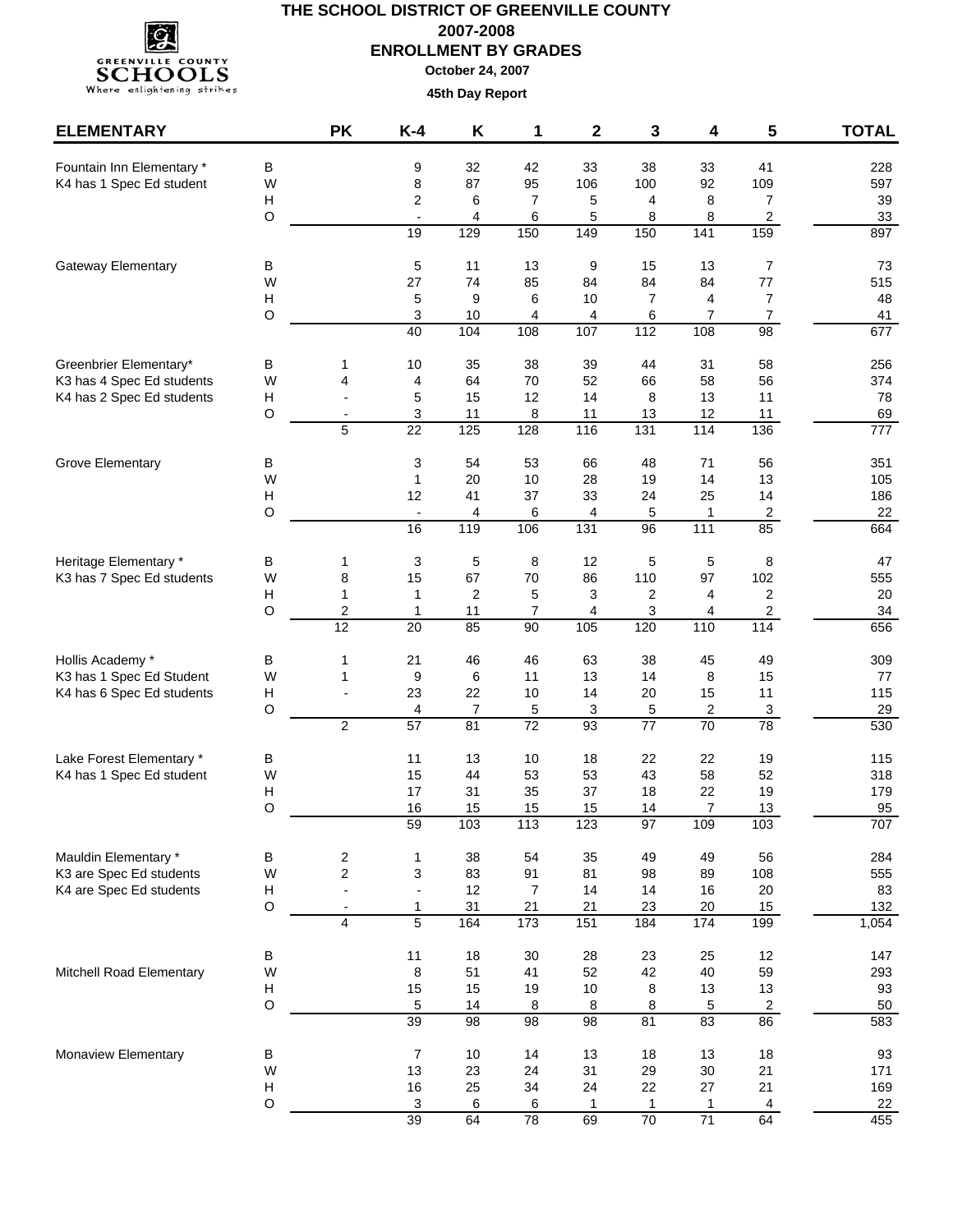### I.C.  $\mathop{\bf SCHOOLS}\limits_{\text{Where neighboring strings}}$

#### **THE SCHOOL DISTRICT OF GREENVILLE COUNTY 2007-2008 ENROLLMENT BY GRADES**

**October 24, 2007**

| <b>ELEMENTARY</b>         |                   | <b>PK</b>                                      | $K-4$                                    | Κ                    | 1                    | 2                  | 3                               | 4                     | 5                         | <b>TOTAL</b> |
|---------------------------|-------------------|------------------------------------------------|------------------------------------------|----------------------|----------------------|--------------------|---------------------------------|-----------------------|---------------------------|--------------|
| Fountain Inn Elementary * | В                 |                                                | 9                                        | 32                   | 42                   | 33                 | 38                              | 33                    | 41                        | 228          |
| K4 has 1 Spec Ed student  | W                 |                                                | 8                                        | 87                   | 95                   | 106                | 100                             | 92                    | 109                       | 597          |
|                           | Н                 |                                                | 2                                        | 6                    | 7                    | 5                  | 4                               | 8                     | $\overline{7}$            | 39           |
|                           | $\circ$           |                                                | $\overline{\phantom{a}}$<br>19           | 4<br>129             | 6<br>150             | 5<br>149           | 8<br>150                        | 8<br>141              | $\mathbf{2}$<br>159       | 33<br>897    |
|                           |                   |                                                |                                          |                      |                      |                    |                                 |                       |                           |              |
| <b>Gateway Elementary</b> | В                 |                                                | 5                                        | 11                   | 13                   | 9                  | 15                              | 13                    | 7                         | 73           |
|                           | W<br>Н            |                                                | 27<br>5                                  | 74<br>9              | 85<br>6              | 84<br>10           | 84<br>7                         | 84<br>4               | 77<br>$\overline{7}$      | 515<br>48    |
|                           | $\mathsf O$       |                                                | 3                                        | 10                   | 4                    | $\overline{4}$     | 6                               | $\overline{7}$        | $\overline{7}$            | 41           |
|                           |                   |                                                | 40                                       | 104                  | 108                  | 107                | 112                             | 108                   | $\overline{98}$           | 677          |
| Greenbrier Elementary*    | В                 | 1                                              | 10                                       | 35                   | 38                   | 39                 | 44                              | 31                    | 58                        | 256          |
| K3 has 4 Spec Ed students | W                 | 4                                              | 4                                        | 64                   | 70                   | 52                 | 66                              | 58                    | 56                        | 374          |
| K4 has 2 Spec Ed students | Н                 |                                                | 5                                        | 15                   | 12                   | 14                 | 8                               | 13                    | 11                        | 78           |
|                           | O                 | $\overline{\phantom{a}}$                       | 3                                        | 11                   | 8                    | 11                 | 13                              | 12                    | 11                        | 69           |
|                           |                   | 5                                              | $\overline{22}$                          | $\frac{1}{25}$       | 128                  | 116                | $\frac{1}{131}$                 | 114                   | 136                       | 777          |
| Grove Elementary          | В                 |                                                | 3                                        | 54                   | 53                   | 66                 | 48                              | 71                    | 56                        | 351          |
|                           | W                 |                                                | 1                                        | 20                   | 10                   | 28                 | 19                              | 14                    | 13                        | 105          |
|                           | н<br>$\circ$      |                                                | 12<br>$\blacksquare$                     | 41<br>4              | 37<br>6              | 33<br>4            | 24<br>5                         | 25<br>1               | 14<br>$\overline{2}$      | 186<br>22    |
|                           |                   |                                                | 16                                       | 119                  | 106                  | 131                | 96                              | 111                   | 85                        | 664          |
|                           |                   |                                                |                                          |                      |                      |                    |                                 |                       |                           |              |
| Heritage Elementary *     | В                 | 1                                              | 3                                        | 5                    | 8                    | 12                 | 5                               | 5                     | 8                         | 47           |
| K3 has 7 Spec Ed students | W<br>$\mathsf{H}$ | 8<br>$\mathbf{1}$                              | 15                                       | 67<br>$\overline{c}$ | 70                   | 86<br>3            | 110                             | 97                    | 102<br>$\sqrt{2}$         | 555<br>20    |
|                           | $\circ$           | 2                                              | $\mathbf{1}$<br>1                        | 11                   | 5<br>$\overline{7}$  | 4                  | 2<br>3                          | 4<br>4                | $\overline{c}$            | 34           |
|                           |                   | 12                                             | 20                                       | 85                   | 90                   | $\frac{1}{105}$    | 120                             | $\frac{110}{110}$     | 114                       | 656          |
| Hollis Academy *          | В                 | 1                                              | 21                                       | 46                   | 46                   | 63                 | 38                              | 45                    | 49                        | 309          |
| K3 has 1 Spec Ed Student  | W                 | 1                                              | 9                                        | 6                    | 11                   | 13                 | 14                              | 8                     | 15                        | 77           |
| K4 has 6 Spec Ed students | $\mathsf{H}$      |                                                | 23                                       | 22                   | 10                   | 14                 | 20                              | 15                    | 11                        | 115          |
|                           | $\circ$           |                                                | 4                                        | 7                    | 5                    | 3                  | 5                               | 2                     | $\ensuremath{\mathsf{3}}$ | 29           |
|                           |                   | $\overline{2}$                                 | 57                                       | 81                   | $\overline{72}$      | 93                 | 77                              | 70                    | $\overline{78}$           | 530          |
| Lake Forest Elementary *  | В                 |                                                | 11                                       | 13                   | 10                   | 18                 | 22                              | 22                    | 19                        | 115          |
| K4 has 1 Spec Ed student  | W                 |                                                | 15                                       | 44                   | 53                   | 53                 | 43                              | 58                    | 52                        | 318          |
|                           | Н                 |                                                | 17                                       | 31                   | 35                   | 37                 | 18                              | 22                    | 19                        | 179          |
|                           | $\circ$           |                                                | 16<br>59                                 | 15<br>103            | 15<br>113            | 15<br>123          | 14<br>97                        | $\overline{7}$<br>109 | 13<br>103                 | 95<br>707    |
|                           |                   |                                                |                                          |                      |                      |                    |                                 |                       |                           |              |
| Mauldin Elementary *      | B                 | $\overline{\mathbf{c}}$                        | $\mathbf{1}$                             | 38                   | 54                   | 35                 | 49                              | 49                    | 56                        | 284          |
| K3 are Spec Ed students   | W                 | $\boldsymbol{2}$                               | 3                                        | 83                   | 91                   | 81                 | 98                              | 89                    | 108                       | 555          |
| K4 are Spec Ed students   | Н<br>$\circ$      | $\overline{a}$<br>$\qquad \qquad \blacksquare$ | $\overline{\phantom{a}}$<br>$\mathbf{1}$ | 12<br>31             | $\overline{7}$<br>21 | 14<br>21           | 14<br>23                        | 16<br>20              | 20<br>$15\,$              | 83<br>132    |
|                           |                   | 4                                              | $\overline{5}$                           | 164                  | 173                  | 151                | 184                             | 174                   | 199                       | 1,054        |
|                           | В                 |                                                | 11                                       | 18                   | 30                   | 28                 | 23                              | 25                    | 12                        | 147          |
| Mitchell Road Elementary  | W                 |                                                | 8                                        | 51                   | 41                   | 52                 | 42                              | 40                    | 59                        | 293          |
|                           | Н                 |                                                | 15                                       | 15                   | 19                   | 10                 | 8                               | 13                    | 13                        | 93           |
|                           | $\circ$           |                                                | 5                                        | 14                   | 8                    | 8                  | 8                               | 5                     | $\mathbf{2}$              | 50           |
|                           |                   |                                                | 39                                       | 98                   | $\overline{98}$      | $\overline{98}$    | 81                              | 83                    | 86                        | 583          |
| Monaview Elementary       | В                 |                                                | $\overline{7}$                           | 10                   | 14                   | 13                 | 18                              | 13                    | 18                        | 93           |
|                           | W                 |                                                | 13                                       | 23                   | 24                   | 31                 | 29                              | 30                    | 21                        | 171          |
|                           | Н                 |                                                | 16                                       | 25                   | 34                   | 24                 | 22                              | 27                    | 21                        | 169          |
|                           | $\circ$           |                                                | 3<br>39                                  | 6<br>64              | 6<br>$\overline{78}$ | $\mathbf{1}$<br>69 | $\mathbf{1}$<br>$\overline{70}$ | 1<br>$\overline{71}$  | $\overline{4}$<br>64      | 22<br>455    |
|                           |                   |                                                |                                          |                      |                      |                    |                                 |                       |                           |              |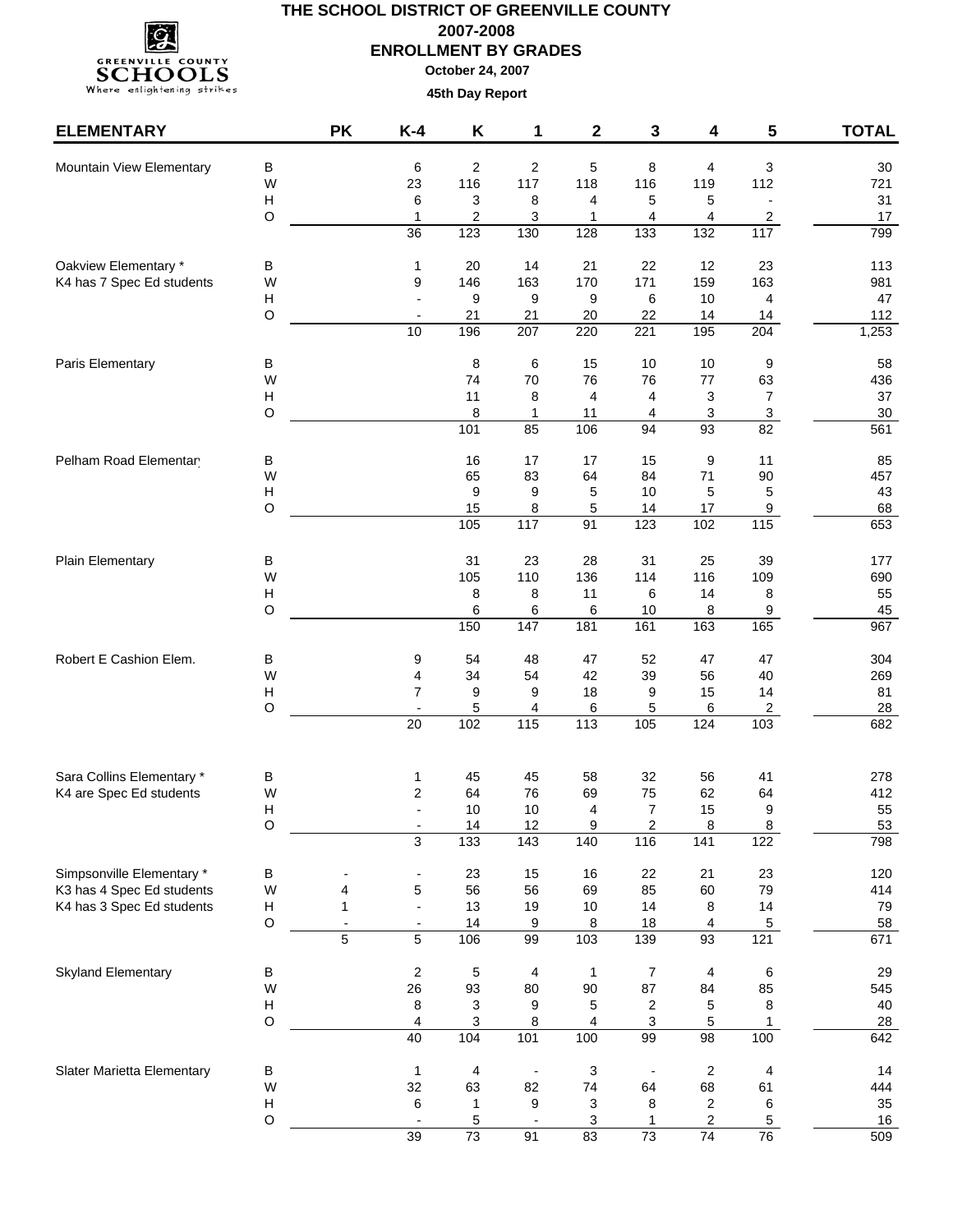#### **THE SCHOOL DISTRICT OF GREENVILLE COUNTY 2007-2008**

**ENROLLMENT BY GRADES**



**October 24, 2007**

| <b>ELEMENTARY</b>          |              | <b>PK</b> | $K-4$                    | K                 | 1                  | $\mathbf 2$      | 3                              | 4                       | 5                                                                                                                                                                                                                                                                                                                                                                                | <b>TOTAL</b>  |
|----------------------------|--------------|-----------|--------------------------|-------------------|--------------------|------------------|--------------------------------|-------------------------|----------------------------------------------------------------------------------------------------------------------------------------------------------------------------------------------------------------------------------------------------------------------------------------------------------------------------------------------------------------------------------|---------------|
| Mountain View Elementary   | $\sf B$      |           | 6                        | 2                 | $\overline{c}$     | 5                | 8                              | 4                       |                                                                                                                                                                                                                                                                                                                                                                                  | 30            |
|                            | W            |           | 23                       | 116               | 117                | 118              | 116                            | 119                     |                                                                                                                                                                                                                                                                                                                                                                                  | 721           |
|                            | H            |           | 6                        | 3                 | 8                  | 4                | 5                              | 5                       | $\overline{\phantom{a}}$                                                                                                                                                                                                                                                                                                                                                         | 31            |
|                            | O            |           | $\mathbf{1}$             | 2                 | 3                  | 1                | 4                              | 4                       | $\overline{c}$                                                                                                                                                                                                                                                                                                                                                                   | 17            |
|                            |              |           | $\overline{36}$          | 123               | 130                | 128              | $\overline{133}$               | $\overline{132}$        | 117                                                                                                                                                                                                                                                                                                                                                                              | 799           |
| Oakview Elementary *       | в            |           | 1                        | 20                | 14                 | 21               | 22                             | 12                      | 23                                                                                                                                                                                                                                                                                                                                                                               | 113           |
| K4 has 7 Spec Ed students  | W            |           | 9                        | 146               | 163                | 170              | 171                            | 159                     |                                                                                                                                                                                                                                                                                                                                                                                  | 981           |
|                            | H            |           |                          | 9                 | 9                  | 9                | 6                              | $10$                    |                                                                                                                                                                                                                                                                                                                                                                                  | 47            |
|                            | O            |           | 10                       | 21<br>196         | 21<br>207          | 20<br>220        | 22<br>$\overline{221}$         | 14<br>195               | 3<br>112<br>163<br>4<br>14<br>$\overline{204}$<br>9<br>63<br>$\overline{7}$<br>$\ensuremath{\mathsf{3}}$<br>82<br>11<br>90<br>5<br>9<br>$\frac{115}{115}$<br>39<br>109<br>8<br>9<br>165<br>47<br>40<br>14<br>$\overline{c}$<br>103<br>41<br>64<br>9<br>8<br>122<br>23<br>79<br>14<br>$5\,$<br>121<br>6<br>85<br>8<br>$\mathbf{1}$<br>100<br>4<br>61<br>6<br>5<br>$\overline{76}$ | 112<br>1,253  |
|                            |              |           |                          |                   |                    |                  |                                |                         |                                                                                                                                                                                                                                                                                                                                                                                  |               |
| Paris Elementary           | В            |           |                          | 8                 | $\,6\,$            | 15               | 10                             |                         | $10$<br>$77 \,$<br>3<br>3<br>9<br>71<br>5<br>17<br>25<br>116<br>14<br>8<br>47<br>56<br>6                                                                                                                                                                                                                                                                                         | 58            |
|                            | W            |           |                          | 74                | 70                 | 76               | 76                             |                         |                                                                                                                                                                                                                                                                                                                                                                                  | 436           |
|                            | H<br>$\circ$ |           |                          | 11                | 8                  | $\overline{4}$   | 4                              |                         |                                                                                                                                                                                                                                                                                                                                                                                  | 37            |
|                            |              |           |                          | 8<br>101          | $\mathbf{1}$<br>85 | 11<br>106        | 4<br>94                        | 93                      |                                                                                                                                                                                                                                                                                                                                                                                  | $30\,$<br>561 |
| Pelham Road Elementar      |              |           |                          |                   |                    | 17               |                                |                         |                                                                                                                                                                                                                                                                                                                                                                                  |               |
|                            | В<br>W       |           |                          | 16<br>65          | 17<br>83           | 64               | 15<br>84                       |                         |                                                                                                                                                                                                                                                                                                                                                                                  | 85<br>457     |
|                            | H            |           |                          | 9                 | 9                  | 5                | 10                             |                         |                                                                                                                                                                                                                                                                                                                                                                                  | 43            |
|                            | $\circ$      |           |                          | 15                | 8                  | 5                | 14                             |                         |                                                                                                                                                                                                                                                                                                                                                                                  | 68            |
|                            |              |           |                          | $\frac{105}{105}$ | 117                | 91               | 123                            | 102                     |                                                                                                                                                                                                                                                                                                                                                                                  | 653           |
| Plain Elementary           | В            |           |                          | 31                | 23                 | 28               | 31                             |                         |                                                                                                                                                                                                                                                                                                                                                                                  | 177           |
|                            | W            |           |                          | 105               | 110                | 136              | 114                            |                         |                                                                                                                                                                                                                                                                                                                                                                                  | 690           |
|                            | H            |           |                          | 8                 | 8                  | 11               | 6                              |                         |                                                                                                                                                                                                                                                                                                                                                                                  | 55            |
|                            | O            |           |                          | 6                 | 6                  | 6                | 10                             |                         |                                                                                                                                                                                                                                                                                                                                                                                  | 45            |
|                            |              |           |                          | 150               | 147                | 181              | 161                            | 163                     |                                                                                                                                                                                                                                                                                                                                                                                  | 967           |
| Robert E Cashion Elem.     | В            |           | 9                        | 54                | 48                 | 47               | 52                             |                         |                                                                                                                                                                                                                                                                                                                                                                                  | 304           |
|                            | W            |           | 4                        | 34                | 54                 | 42               | 39                             |                         |                                                                                                                                                                                                                                                                                                                                                                                  | 269           |
|                            | H            |           | 7                        | 9                 | 9                  | 18               | 9                              | 15                      |                                                                                                                                                                                                                                                                                                                                                                                  | 81            |
|                            | O            |           |                          | 5                 | 4                  | 6                | 5                              |                         |                                                                                                                                                                                                                                                                                                                                                                                  | 28            |
|                            |              |           | $\overline{20}$          | 102               | 115                | $\frac{113}{2}$  | 105                            | 124                     |                                                                                                                                                                                                                                                                                                                                                                                  | 682           |
|                            |              |           |                          |                   |                    |                  |                                |                         |                                                                                                                                                                                                                                                                                                                                                                                  |               |
| Sara Collins Elementary *  | в            |           | 1                        | 45                | 45                 | 58               | 32                             | 56                      |                                                                                                                                                                                                                                                                                                                                                                                  | 278           |
| K4 are Spec Ed students    | W            |           | $\overline{\mathbf{c}}$  | 64                | 76                 | 69               | 75                             | 62                      |                                                                                                                                                                                                                                                                                                                                                                                  | 412           |
|                            | H            |           |                          | 10                | 10                 | $\overline{4}$   | $\overline{7}$                 | 15                      |                                                                                                                                                                                                                                                                                                                                                                                  | 55            |
|                            | O            |           |                          | 14                | 12                 | 9                | 2                              | 8                       |                                                                                                                                                                                                                                                                                                                                                                                  | 53            |
|                            |              |           | $\overline{3}$           | $\overline{133}$  | 143                | 140              | 116                            | 141                     |                                                                                                                                                                                                                                                                                                                                                                                  | 798           |
| Simpsonville Elementary *  | B            |           | $\overline{\phantom{a}}$ | 23                | 15                 | 16               | 22                             | 21                      |                                                                                                                                                                                                                                                                                                                                                                                  | 120           |
| K3 has 4 Spec Ed students  | W            | 4         | 5                        | 56                | 56                 | 69               | 85                             | 60                      |                                                                                                                                                                                                                                                                                                                                                                                  | 414           |
| K4 has 3 Spec Ed students  | H            | 1         | $\overline{\phantom{a}}$ | 13                | 19                 | $10$             | 14                             | 8                       |                                                                                                                                                                                                                                                                                                                                                                                  | 79            |
|                            | $\hbox{O}$   | 5         | $\overline{5}$           | 14<br>106         | 9<br>99            | 8<br>103         | $18$<br>139                    | 4<br>93                 |                                                                                                                                                                                                                                                                                                                                                                                  | 58<br>671     |
|                            |              |           |                          |                   |                    |                  |                                |                         |                                                                                                                                                                                                                                                                                                                                                                                  |               |
| <b>Skyland Elementary</b>  | B<br>W       |           | $\overline{\mathbf{c}}$  | 5<br>93           | $\overline{4}$     | 1                | 7<br>87                        | 4                       |                                                                                                                                                                                                                                                                                                                                                                                  | 29            |
|                            | H            |           | 26<br>8                  | 3                 | 80<br>9            | 90<br>5          | $\overline{\mathbf{c}}$        | 84                      |                                                                                                                                                                                                                                                                                                                                                                                  | 545<br>40     |
|                            | $\circ$      |           | 4                        | 3                 | 8                  | 4                | 3                              | 5<br>5                  |                                                                                                                                                                                                                                                                                                                                                                                  | 28            |
|                            |              |           | 40                       | 104               | 101                | 100              | 99                             | $\overline{98}$         |                                                                                                                                                                                                                                                                                                                                                                                  | 642           |
|                            |              |           |                          |                   |                    |                  |                                |                         |                                                                                                                                                                                                                                                                                                                                                                                  |               |
| Slater Marietta Elementary | В<br>W       |           | 1<br>32                  | 4<br>63           | ÷<br>82            | $\sqrt{3}$<br>74 | $\overline{\phantom{a}}$<br>64 | $\boldsymbol{2}$<br>68  |                                                                                                                                                                                                                                                                                                                                                                                  | 14<br>444     |
|                            | H            |           | 6                        | 1                 | 9                  | 3                | 8                              | $\overline{\mathbf{c}}$ |                                                                                                                                                                                                                                                                                                                                                                                  | 35            |
|                            | $\circ$      |           |                          | 5                 |                    | 3                | $\mathbf{1}$                   | $\overline{c}$          |                                                                                                                                                                                                                                                                                                                                                                                  | $16\,$        |
|                            |              |           | 39                       | 73                | 91                 | 83               | $\overline{73}$                | 74                      |                                                                                                                                                                                                                                                                                                                                                                                  | 509           |
|                            |              |           |                          |                   |                    |                  |                                |                         |                                                                                                                                                                                                                                                                                                                                                                                  |               |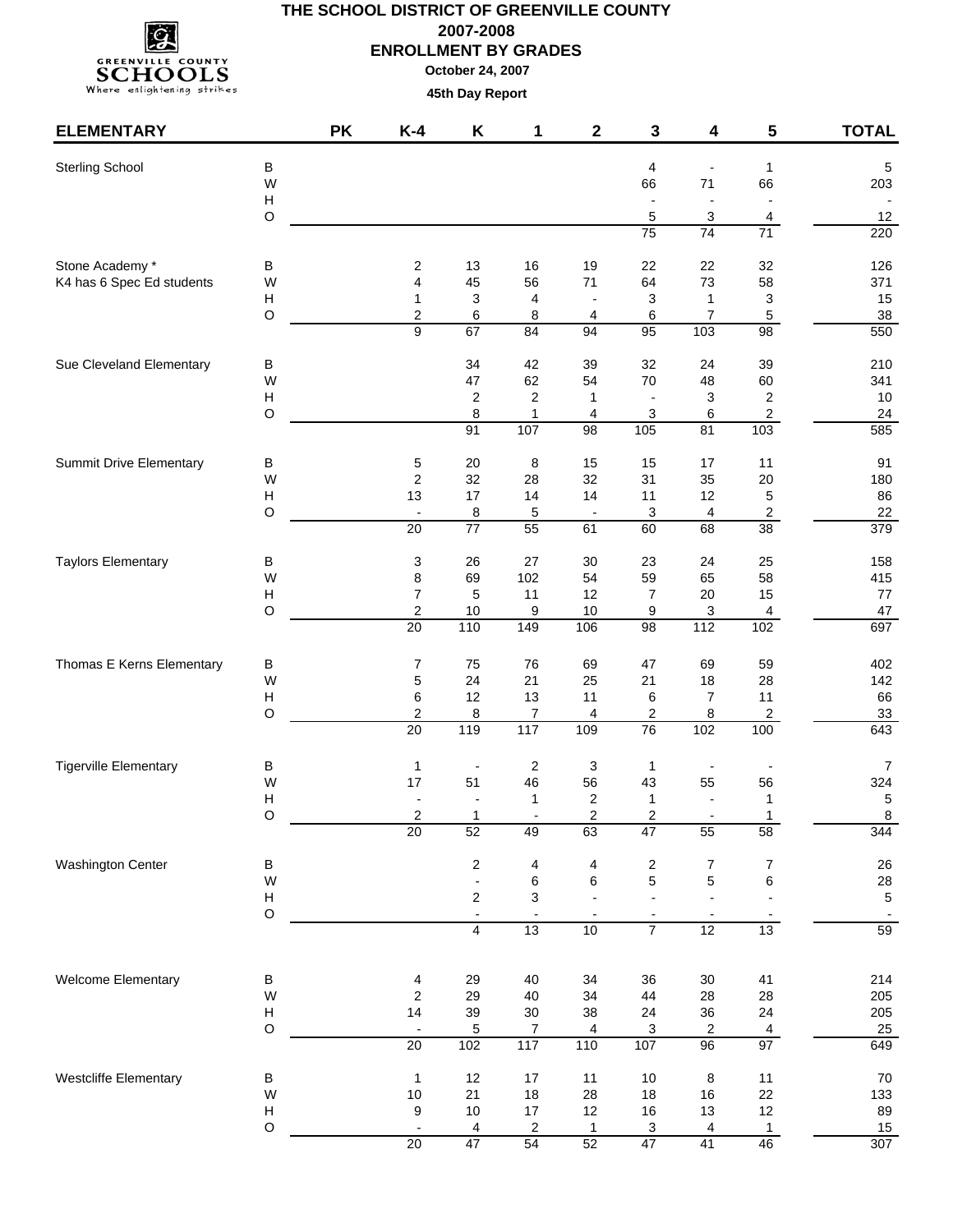## I.C.  $\mathop{\bf SCHOOLS}\limits_{\text{Where neighboring strings}}$

#### **THE SCHOOL DISTRICT OF GREENVILLE COUNTY 2007-2008 ENROLLMENT BY GRADES**

**October 24, 2007**

| <b>ELEMENTARY</b>              |                                          | <b>PK</b> | $K-4$                             | K                              | 1                             | $\mathbf 2$                   | 3                                         | 4                        | 5                              | <b>TOTAL</b>                 |
|--------------------------------|------------------------------------------|-----------|-----------------------------------|--------------------------------|-------------------------------|-------------------------------|-------------------------------------------|--------------------------|--------------------------------|------------------------------|
| <b>Sterling School</b>         | B                                        |           |                                   |                                |                               |                               | 4                                         |                          | $\mathbf{1}$                   | 5                            |
|                                | W                                        |           |                                   |                                |                               |                               | 66                                        | 71                       | 66                             | 203                          |
|                                | H                                        |           |                                   |                                |                               |                               | $\overline{a}$                            | $\overline{a}$           | $\overline{\phantom{a}}$       |                              |
|                                | $\circ$                                  |           |                                   |                                |                               |                               | 5<br>75                                   | 3<br>74                  | 4<br>71                        | 12<br>220                    |
|                                |                                          |           |                                   |                                |                               |                               |                                           |                          |                                |                              |
| Stone Academy *                | $\sf B$                                  |           | $\overline{c}$                    | 13                             | 16                            | 19                            | 22                                        | 22                       | 32                             | 126                          |
| K4 has 6 Spec Ed students      | W                                        |           | 4                                 | 45                             | 56                            | 71                            | 64                                        | 73                       | 58                             | 371                          |
|                                | H<br>$\circ$                             |           | 1<br>$\boldsymbol{2}$             | 3<br>6                         | 4<br>8                        | 4                             | 3<br>6                                    | 1<br>$\overline{7}$      | 3<br>5                         | 15<br>$38\,$                 |
|                                |                                          |           | $\overline{9}$                    | 67                             | 84                            | 94                            | $\overline{95}$                           | 103                      | $\overline{98}$                | 550                          |
| Sue Cleveland Elementary       | B                                        |           |                                   | 34                             | 42                            | 39                            | 32                                        | 24                       | 39                             | 210                          |
|                                | W                                        |           |                                   | 47                             | 62                            | 54                            | $70\,$                                    | 48                       | 60                             | 341                          |
|                                | $\boldsymbol{\mathsf{H}}$                |           |                                   | 2                              | $\sqrt{2}$                    | 1                             | $\frac{1}{2}$                             | 3                        | $\boldsymbol{2}$               | $10$                         |
|                                | $\circ$                                  |           |                                   | 8<br>91                        | 1<br>107                      | 4<br>$\overline{98}$          | 3<br>105                                  | 6<br>81                  | $\overline{\mathbf{c}}$<br>103 | 24<br>585                    |
| <b>Summit Drive Elementary</b> | $\sf B$                                  |           | 5                                 | 20                             | 8                             | 15                            | 15                                        | 17                       | 11                             | 91                           |
|                                | W                                        |           | $\overline{c}$                    | 32                             | 28                            | 32                            | 31                                        | 35                       | 20                             | 180                          |
|                                | H                                        |           | 13                                | 17                             | 14                            | 14                            | 11                                        | 12                       | 5                              | 86                           |
|                                | $\circ$                                  |           | $\overline{\phantom{a}}$          | 8                              | 5                             | $\blacksquare$                | 3                                         | 4                        | $\overline{\mathbf{c}}$        | 22                           |
|                                |                                          |           | $\overline{20}$                   | $\overline{77}$                | 55                            | 61                            | 60                                        | 68                       | 38                             | 379                          |
| <b>Taylors Elementary</b>      | В                                        |           | 3                                 | 26                             | 27                            | 30                            | 23                                        | 24                       | 25                             | 158                          |
|                                | W                                        |           | 8                                 | 69                             | 102                           | 54                            | 59                                        | 65                       | 58                             | 415                          |
|                                | $\boldsymbol{\mathsf{H}}$<br>$\circ$     |           | $\overline{7}$<br>$\sqrt{2}$      | 5<br>10                        | 11                            | 12<br>10                      | $\boldsymbol{7}$                          | 20                       | 15                             | 77<br>47                     |
|                                |                                          |           | 20                                | $\frac{110}{110}$              | 9<br>149                      | 106                           | 9<br>$\overline{98}$                      | 3<br>112                 | $\overline{4}$<br>102          | 697                          |
| Thomas E Kerns Elementary      | B                                        |           | 7                                 | 75                             | 76                            | 69                            | 47                                        | 69                       | 59                             | 402                          |
|                                | W                                        |           | 5                                 | 24                             | 21                            | 25                            | 21                                        | 18                       | 28                             | 142                          |
|                                | $\boldsymbol{\mathsf{H}}$                |           | 6                                 | 12                             | 13                            | 11                            | 6                                         | $\boldsymbol{7}$         | 11                             | 66                           |
|                                | $\circ$                                  |           | $\overline{c}$<br>$\overline{20}$ | 8<br>119                       | $\overline{7}$<br>117         | 4<br>109                      | 2<br>76                                   | 8<br>102                 | $\overline{c}$<br>100          | $33\,$<br>643                |
|                                |                                          |           |                                   |                                |                               |                               |                                           |                          |                                |                              |
| <b>Tigerville Elementary</b>   | В                                        |           | 1                                 | $\blacksquare$                 | $\boldsymbol{2}$              | 3                             | $\mathbf{1}$                              |                          |                                | 7                            |
|                                | W<br>$\boldsymbol{\mathsf{H}}$           |           | 17                                | 51<br>$\overline{\phantom{a}}$ | 46<br>$\mathbf{1}$            | 56<br>$\overline{\mathbf{c}}$ | 43<br>$\mathbf{1}$                        | 55                       | 56<br>$\mathbf{1}$             | 324<br>5                     |
|                                | O                                        |           | $\overline{2}$                    | 1                              |                               | $\overline{2}$                | $\overline{2}$                            |                          | 1                              | 8                            |
|                                |                                          |           | 20                                | 52                             | 49                            | 63                            | $\overline{47}$                           | 55                       | 58                             | 344                          |
| Washington Center              | $\sf B$                                  |           |                                   | $\overline{\mathbf{c}}$        | $\overline{4}$                | 4                             | 2                                         | $\overline{7}$           | $\boldsymbol{7}$               | 26                           |
|                                | W                                        |           |                                   | $\blacksquare$                 | $\,6\,$                       | 6                             | 5                                         | 5                        | 6                              | 28                           |
|                                | H<br>$\hbox{O}$                          |           |                                   | 2<br>$\Box$                    | 3<br>$\blacksquare$           |                               | $\frac{1}{2}$<br>$\overline{\phantom{a}}$ | $\overline{\phantom{a}}$ |                                | $\sqrt{5}$<br>$\blacksquare$ |
|                                |                                          |           |                                   | 4                              | 13                            | 10                            | $\overline{7}$                            | 12                       | $\overline{13}$                | 59                           |
|                                |                                          |           |                                   |                                |                               |                               |                                           |                          |                                |                              |
| Welcome Elementary             | B                                        |           | 4                                 | 29                             | 40                            | 34                            | 36                                        | $30\,$                   | 41                             | 214                          |
|                                | W<br>H                                   |           | $\boldsymbol{2}$<br>14            | 29<br>39                       | 40<br>$30\,$                  | 34<br>38                      | 44<br>24                                  | 28<br>36                 | 28<br>24                       | 205<br>205                   |
|                                | $\circ$                                  |           | $\blacksquare$                    | 5                              | 7                             | 4                             | 3                                         | 2                        | $\overline{4}$                 | <b>25</b>                    |
|                                |                                          |           | 20                                | 102                            | 117                           | 110                           | 107                                       | 96                       | 97                             | 649                          |
| <b>Westcliffe Elementary</b>   | B                                        |           | $\mathbf{1}$                      | 12                             | 17                            | 11                            | $10$                                      | 8                        | 11                             | $70\,$                       |
|                                | W                                        |           | $10$                              | 21                             | 18                            | 28                            | 18                                        | $16\,$                   | 22                             | 133                          |
|                                | $\boldsymbol{\mathsf{H}}$<br>$\mathsf O$ |           | 9<br>$\blacksquare$               | 10                             | 17                            | 12<br>$\mathbf 1$             | $16$                                      | 13                       | 12                             | 89                           |
|                                |                                          |           | 20                                | 4<br>47                        | $\overline{\mathbf{c}}$<br>54 | $\overline{52}$               | 3<br>$\overline{47}$                      | 4<br>41                  | $\overline{1}$<br>46           | 15<br>307                    |
|                                |                                          |           |                                   |                                |                               |                               |                                           |                          |                                |                              |